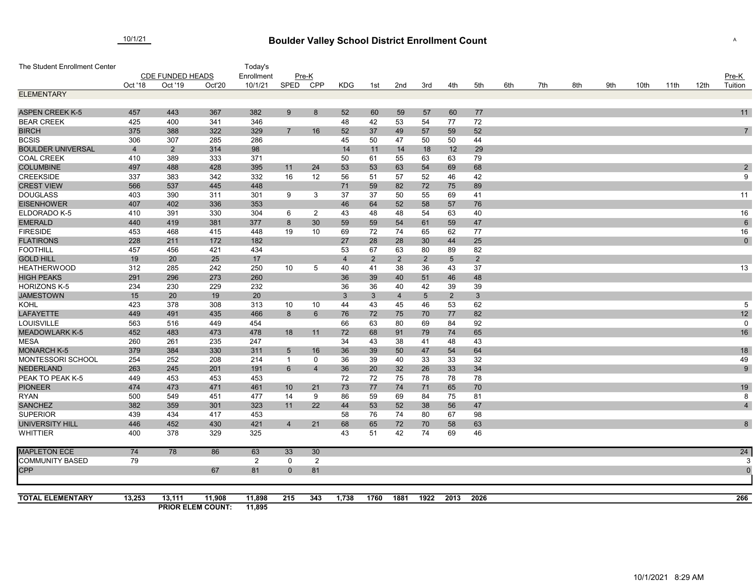## 10/1/21 **Boulder Valley School District Enrollment Count Count** Assembly the Count of Assembly Assembly Assembly A

| The Student Enrollment Center           |                         |                |                          | Today's    |                            |                |            |                |                |                |                |                |     |     |     |     |      |      |      |                 |
|-----------------------------------------|-------------------------|----------------|--------------------------|------------|----------------------------|----------------|------------|----------------|----------------|----------------|----------------|----------------|-----|-----|-----|-----|------|------|------|-----------------|
|                                         | <b>CDE FUNDED HEADS</b> |                |                          | Enrollment | Pre-K                      |                |            |                |                |                |                |                |     |     |     |     |      |      |      | Pre-K           |
|                                         | Oct '18                 | Oct '19        | Oct'20                   | 10/1/21    | SPED                       | CPP            | <b>KDG</b> | 1st            | 2nd            | 3rd            | 4th            | 5th            | 6th | 7th | 8th | 9th | 10th | 11th | 12th | Tuition         |
| <b>ELEMENTARY</b>                       |                         |                |                          |            |                            |                |            |                |                |                |                |                |     |     |     |     |      |      |      |                 |
|                                         |                         |                |                          |            |                            |                |            |                |                |                |                |                |     |     |     |     |      |      |      |                 |
| <b>ASPEN CREEK K-5</b>                  | 457                     | 443            | 367                      | 382        | 9                          | 8              | 52         | 60             | 59             | 57             | 60             | 77             |     |     |     |     |      |      |      | 11              |
| <b>BEAR CREEK</b>                       | 425                     | 400            | 341                      | 346        |                            |                | 48         | 42             | 53             | 54             | 77             | 72             |     |     |     |     |      |      |      |                 |
| <b>BIRCH</b>                            | 375                     | 388            | 322                      | 329        | $\overline{7}$             | 16             | 52         | 37             | 49             | 57             | 59             | 52             |     |     |     |     |      |      |      | $\overline{7}$  |
| <b>BCSIS</b>                            | 306                     | 307            | 285                      | 286        |                            |                | 45         | 50             | 47             | 50             | 50             | 44             |     |     |     |     |      |      |      |                 |
| <b>BOULDER UNIVERSAL</b>                | $\overline{4}$          | $\overline{2}$ | 314                      | 98         |                            |                | 14         | 11             | 14             | 18             | 12             | 29             |     |     |     |     |      |      |      |                 |
| <b>COAL CREEK</b>                       | 410                     | 389            | 333                      | 371        |                            |                | 50         | 61             | 55             | 63             | 63             | 79             |     |     |     |     |      |      |      |                 |
| <b>COLUMBINE</b>                        | 497                     | 488            | 428                      | 395        | 11                         | 24             | 53         | 53             | 63             | 54             | 69             | 68             |     |     |     |     |      |      |      | $\sqrt{2}$      |
| <b>CREEKSIDE</b>                        | 337                     | 383            | 342                      | 332        | 16                         | 12             | 56         | 51             | 57             | 52             | 46             | 42             |     |     |     |     |      |      |      | 9               |
| <b>CREST VIEW</b>                       | 566                     | 537            | 445                      | 448        |                            |                | 71         | 59             | 82             | 72             | 75             | 89             |     |     |     |     |      |      |      |                 |
| <b>DOUGLASS</b>                         | 403                     | 390            | 311                      | 301        | 9                          | 3              | 37         | 37             | 50             | 55             | 69             | 41             |     |     |     |     |      |      |      | 11              |
| <b>EISENHOWER</b>                       | 407                     | 402            | 336                      | 353        |                            |                | 46         | 64             | 52             | 58             | 57             | 76             |     |     |     |     |      |      |      |                 |
| ELDORADO K-5                            | 410                     | 391            | 330                      | 304        | 6                          | $\overline{2}$ | 43         | 48             | 48             | 54             | 63             | 40             |     |     |     |     |      |      |      | 16              |
| <b>EMERALD</b>                          | 440                     | 419            | 381                      | 377        | 8                          | 30             | 59         | 59             | 54             | 61             | 59             | 47             |     |     |     |     |      |      |      | $6\phantom{1}6$ |
| <b>FIRESIDE</b>                         | 453                     | 468            | 415                      | 448        | 19                         | 10             | 69         | 72             | 74             | 65             | 62             | 77             |     |     |     |     |      |      |      | 16              |
| <b>FLATIRONS</b>                        | 228                     | 211            | 172                      | 182        |                            |                | 27         | 28             | 28             | 30             | 44             | 25             |     |     |     |     |      |      |      | $\pmb{0}$       |
| <b>FOOTHILL</b>                         | 457                     | 456            | 421                      | 434        |                            |                | 53         | 67             | 63             | 80             | 89             | 82             |     |     |     |     |      |      |      |                 |
| <b>GOLD HILL</b>                        | 19                      | 20             | 25                       | 17         |                            |                | 4          | $\overline{2}$ | $2^{\circ}$    | $\overline{2}$ | $\overline{5}$ | $2^{\circ}$    |     |     |     |     |      |      |      |                 |
| <b>HEATHERWOOD</b>                      | 312                     | 285            | 242                      | 250        | 10                         | 5              | 40         | 41             | 38             | 36             | 43             | 37             |     |     |     |     |      |      |      | 13              |
| <b>HIGH PEAKS</b>                       | 291                     | 296            | 273                      | 260        |                            |                | 36         | 39             | 40             | 51             | 46             | 48             |     |     |     |     |      |      |      |                 |
| <b>HORIZONS K-5</b>                     | 234                     | 230            | 229                      | 232        |                            |                | 36         | 36             | 40             | 42             | 39             | 39             |     |     |     |     |      |      |      |                 |
| <b>JAMESTOWN</b>                        | 15                      | 20             | 19                       | 20         |                            |                | 3          | $\mathbf{3}$   | $\overline{4}$ | $\sqrt{5}$     | $\overline{2}$ | $3\phantom{a}$ |     |     |     |     |      |      |      |                 |
| KOHL                                    | 423                     | 378            | 308                      | 313        | 10                         | 10             | 44         | 43             | 45             | 46             | 53             | 62             |     |     |     |     |      |      |      | 5               |
| <b>LAFAYETTE</b>                        | 449                     | 491            | 435                      | 466        | 8                          | 6              | 76         | 72             | 75             | 70             | 77             | 82             |     |     |     |     |      |      |      | 12              |
| LOUISVILLE                              | 563                     | 516            | 449                      | 454        |                            |                | 66         | 63             | 80             | 69             | 84             | 92             |     |     |     |     |      |      |      | $\mathbf 0$     |
| <b>MEADOWLARK K-5</b>                   | 452                     | 483            | 473                      | 478        | 18                         | 11             | 72         | 68             | 91             | 79             | 74             | 65             |     |     |     |     |      |      |      | 16              |
| <b>MESA</b>                             | 260<br>379              | 261            | 235                      | 247        |                            |                | 34         | 43             | 38             | 41             | 48             | 43             |     |     |     |     |      |      |      |                 |
| <b>MONARCH K-5</b><br>MONTESSORI SCHOOL | 254                     | 384<br>252     | 330<br>208               | 311<br>214 | $\sqrt{5}$<br>$\mathbf{1}$ | 16<br>0        | 36<br>36   | 39<br>39       | 50<br>40       | 47<br>33       | 54<br>33       | 64             |     |     |     |     |      |      |      | $18$<br>49      |
| <b>NEDERLAND</b>                        | 263                     | 245            | 201                      | 191        | 6                          | $\overline{4}$ | 36         | 20             | 32             | 26             | 33             | 32<br>34       |     |     |     |     |      |      |      | 9               |
| PEAK TO PEAK K-5                        | 449                     | 453            | 453                      | 453        |                            |                | 72         | 72             | 75             | 78             | 78             | 78             |     |     |     |     |      |      |      |                 |
| <b>PIONEER</b>                          | 474                     | 473            | 471                      | 461        | 10 <sup>°</sup>            | 21             | 73         | 77             | 74             | 71             | 65             | 70             |     |     |     |     |      |      |      | 19              |
| <b>RYAN</b>                             | 500                     | 549            | 451                      | 477        | 14                         | 9              | 86         | 59             | 69             | 84             | 75             | 81             |     |     |     |     |      |      |      | 8               |
| <b>SANCHEZ</b>                          | 382                     | 359            | 301                      | 323        | 11                         | 22             | 44         | 53             | 52             | 38             | 56             | 47             |     |     |     |     |      |      |      | $\overline{4}$  |
| <b>SUPERIOR</b>                         | 439                     | 434            | 417                      | 453        |                            |                | 58         | 76             | 74             | 80             | 67             | 98             |     |     |     |     |      |      |      |                 |
| <b>UNIVERSITY HILL</b>                  | 446                     | 452            | 430                      | 421        | $\overline{4}$             | 21             | 68         | 65             | 72             | 70             | 58             | 63             |     |     |     |     |      |      |      | 8               |
| <b>WHITTIER</b>                         | 400                     | 378            | 329                      | 325        |                            |                | 43         | 51             | 42             | 74             | 69             | 46             |     |     |     |     |      |      |      |                 |
| <b>MAPLETON ECE</b>                     | 74                      | 78             | 86                       | 63         | 33                         | 30             |            |                |                |                |                |                |     |     |     |     |      |      |      | 24              |
| <b>COMMUNITY BASED</b>                  | 79                      |                |                          | 2          | $\mathbf 0$                | 2              |            |                |                |                |                |                |     |     |     |     |      |      |      | 3               |
| <b>CPP</b>                              |                         |                | 67                       | 81         | $\overline{0}$             | 81             |            |                |                |                |                |                |     |     |     |     |      |      |      | $\overline{0}$  |
| <b>TOTAL ELEMENTARY</b>                 | 13,253                  | 13,111         | 11,908                   | 11,898     | 215                        | 343            | 1,738      | 1760           | 1881           | 1922           | 2013           | 2026           |     |     |     |     |      |      |      | 266             |
|                                         |                         |                | <b>PRIOR ELEM COUNT:</b> | 11,895     |                            |                |            |                |                |                |                |                |     |     |     |     |      |      |      |                 |